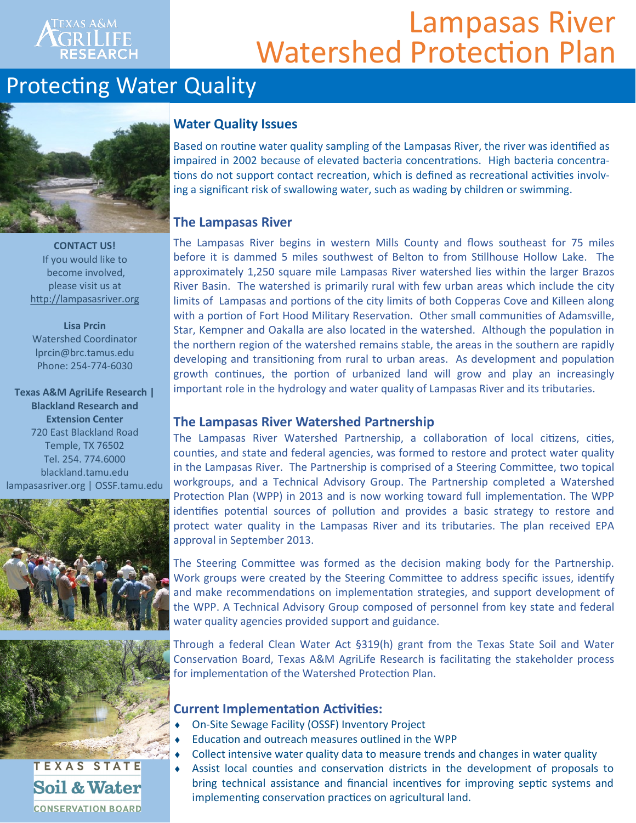### **TEXAS A&M** RILIFE

# Lampasas River Watershed Protection Plan

### Protecting Water Quality



**CONTACT US!** If you would like to become involved, please visit us at [http://lampasasriver.org](http://lampasasriver.org/)

**Lisa Prcin** Watershed Coordinator lprcin@brc.tamus.edu Phone: 254-774-6030

**Texas A&M AgriLife Research | Blackland Research and Extension Center**  720 East Blackland Road Temple, TX 76502 Tel. 254. 774.6000 blackland.tamu.edu lampasasriver.org | OSSF.tamu.edu





### **CONSERVATION BOARD**

#### **Water Quality Issues**

Based on routine water quality sampling of the Lampasas River, the river was identified as impaired in 2002 because of elevated bacteria concentrations. High bacteria concentrations do not support contact recreation, which is defined as recreational activities involving a significant risk of swallowing water, such as wading by children or swimming.

#### **The Lampasas River**

The Lampasas River begins in western Mills County and flows southeast for 75 miles before it is dammed 5 miles southwest of Belton to from Stillhouse Hollow Lake. The approximately 1,250 square mile Lampasas River watershed lies within the larger Brazos River Basin. The watershed is primarily rural with few urban areas which include the city limits of Lampasas and portions of the city limits of both Copperas Cove and Killeen along with a portion of Fort Hood Military Reservation. Other small communities of Adamsville, Star, Kempner and Oakalla are also located in the watershed. Although the population in the northern region of the watershed remains stable, the areas in the southern are rapidly developing and transitioning from rural to urban areas. As development and population growth continues, the portion of urbanized land will grow and play an increasingly important role in the hydrology and water quality of Lampasas River and its tributaries.

#### **The Lampasas River Watershed Partnership**

The Lampasas River Watershed Partnership, a collaboration of local citizens, cities, counties, and state and federal agencies, was formed to restore and protect water quality in the Lampasas River. The Partnership is comprised of a Steering Committee, two topical workgroups, and a Technical Advisory Group. The Partnership completed a Watershed Protection Plan (WPP) in 2013 and is now working toward full implementation. The WPP identifies potential sources of pollution and provides a basic strategy to restore and protect water quality in the Lampasas River and its tributaries. The plan received EPA approval in September 2013.

The Steering Committee was formed as the decision making body for the Partnership. Work groups were created by the Steering Committee to address specific issues, identify and make recommendations on implementation strategies, and support development of the WPP. A Technical Advisory Group composed of personnel from key state and federal water quality agencies provided support and guidance.

Through a federal Clean Water Act §319(h) grant from the Texas State Soil and Water Conservation Board, Texas A&M AgriLife Research is facilitating the stakeholder process for implementation of the Watershed Protection Plan.

#### **Current Implementation Activities:**

- On-Site Sewage Facility (OSSF) Inventory Project
- Education and outreach measures outlined in the WPP
- Collect intensive water quality data to measure trends and changes in water quality
- Assist local counties and conservation districts in the development of proposals to bring technical assistance and financial incentives for improving septic systems and implementing conservation practices on agricultural land.